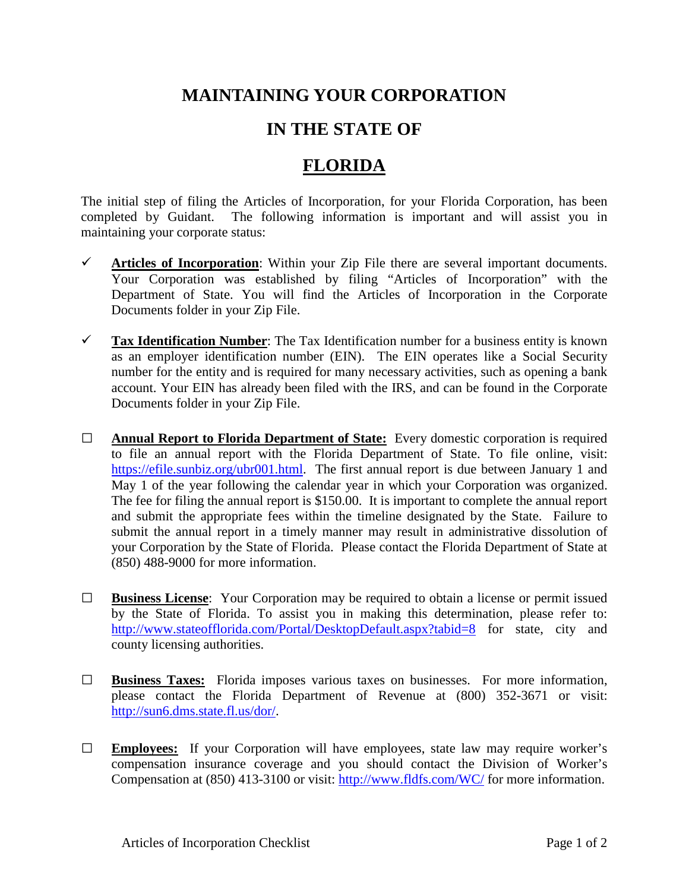## **MAINTAINING YOUR CORPORATION**

## **IN THE STATE OF**

## **FLORIDA**

The initial step of filing the Articles of Incorporation, for your Florida Corporation, has been completed by Guidant. The following information is important and will assist you in maintaining your corporate status:

- $\checkmark$  Articles of Incorporation: Within your Zip File there are several important documents. Your Corporation was established by filing "Articles of Incorporation" with the Department of State. You will find the Articles of Incorporation in the Corporate Documents folder in your Zip File.
- **Tax Identification Number**: The Tax Identification number for a business entity is known as an employer identification number (EIN). The EIN operates like a Social Security number for the entity and is required for many necessary activities, such as opening a bank account. Your EIN has already been filed with the IRS, and can be found in the Corporate Documents folder in your Zip File.
- **□ Annual Report to Florida Department of State:** Every domestic corporation is required to file an annual report with the Florida Department of State. To file online, visit: [https://efile.sunbiz.org/ubr001.html.](https://efile.sunbiz.org/ubr001.html) The first annual report is due between January 1 and May 1 of the year following the calendar year in which your Corporation was organized. The fee for filing the annual report is \$150.00. It is important to complete the annual report and submit the appropriate fees within the timeline designated by the State. Failure to submit the annual report in a timely manner may result in administrative dissolution of your Corporation by the State of Florida. Please contact the Florida Department of State at (850) 488-9000 for more information.
- **□ Business License**: Your Corporation may be required to obtain a license or permit issued by the State of Florida. To assist you in making this determination, please refer to: <http://www.stateofflorida.com/Portal/DesktopDefault.aspx?tabid=8> for state, city and county licensing authorities.
- **□ Business Taxes:** Florida imposes various taxes on businesses. For more information, please contact the Florida Department of Revenue at (800) 352-3671 or visit: [http://sun6.dms.state.fl.us/dor/.](http://sun6.dms.state.fl.us/dor/)
- **□ Employees:** If your Corporation will have employees, state law may require worker's compensation insurance coverage and you should contact the Division of Worker's Compensation at (850) 413-3100 or visit:<http://www.fldfs.com/WC/> for more information.